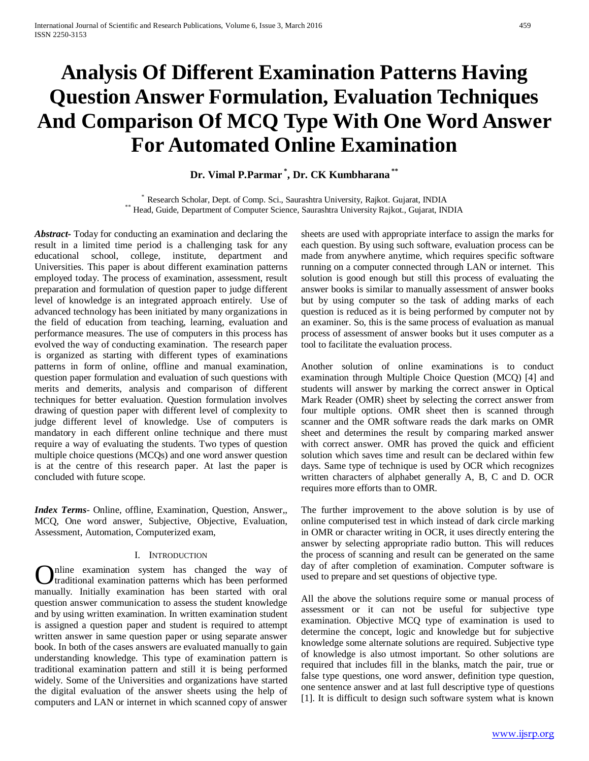# **Analysis Of Different Examination Patterns Having Question Answer Formulation, Evaluation Techniques And Comparison Of MCQ Type With One Word Answer For Automated Online Examination**

# **Dr. Vimal P.Parmar \* , Dr. CK Kumbharana \*\***

\* Research Scholar, Dept. of Comp. Sci., Saurashtra University, Rajkot. Gujarat, INDIA \*\* Head, Guide, Department of Computer Science, Saurashtra University Rajkot., Gujarat, INDIA

*Abstract***-** Today for conducting an examination and declaring the result in a limited time period is a challenging task for any educational school, college, institute, department and Universities. This paper is about different examination patterns employed today. The process of examination, assessment, result preparation and formulation of question paper to judge different level of knowledge is an integrated approach entirely. Use of advanced technology has been initiated by many organizations in the field of education from teaching, learning, evaluation and performance measures. The use of computers in this process has evolved the way of conducting examination. The research paper is organized as starting with different types of examinations patterns in form of online, offline and manual examination, question paper formulation and evaluation of such questions with merits and demerits, analysis and comparison of different techniques for better evaluation. Question formulation involves drawing of question paper with different level of complexity to judge different level of knowledge. Use of computers is mandatory in each different online technique and there must require a way of evaluating the students. Two types of question multiple choice questions (MCQs) and one word answer question is at the centre of this research paper. At last the paper is concluded with future scope.

*Index Terms*- Online, offline, Examination, Question, Answer,, MCQ, One word answer, Subjective, Objective, Evaluation, Assessment, Automation, Computerized exam,

#### I. INTRODUCTION

nline examination system has changed the way of traditional examination patterns which has been performed **C** functional examination system has changed the way of traditional examination patterns which has been performed manually. Initially examination has been started with oral question answer communication to assess the student knowledge and by using written examination. In written examination student is assigned a question paper and student is required to attempt written answer in same question paper or using separate answer book. In both of the cases answers are evaluated manually to gain understanding knowledge. This type of examination pattern is traditional examination pattern and still it is being performed widely. Some of the Universities and organizations have started the digital evaluation of the answer sheets using the help of computers and LAN or internet in which scanned copy of answer

sheets are used with appropriate interface to assign the marks for each question. By using such software, evaluation process can be made from anywhere anytime, which requires specific software running on a computer connected through LAN or internet. This solution is good enough but still this process of evaluating the answer books is similar to manually assessment of answer books but by using computer so the task of adding marks of each question is reduced as it is being performed by computer not by an examiner. So, this is the same process of evaluation as manual process of assessment of answer books but it uses computer as a tool to facilitate the evaluation process.

Another solution of online examinations is to conduct examination through Multiple Choice Question (MCQ) [4] and students will answer by marking the correct answer in Optical Mark Reader (OMR) sheet by selecting the correct answer from four multiple options. OMR sheet then is scanned through scanner and the OMR software reads the dark marks on OMR sheet and determines the result by comparing marked answer with correct answer. OMR has proved the quick and efficient solution which saves time and result can be declared within few days. Same type of technique is used by OCR which recognizes written characters of alphabet generally A, B, C and D. OCR requires more efforts than to OMR.

The further improvement to the above solution is by use of online computerised test in which instead of dark circle marking in OMR or character writing in OCR, it uses directly entering the answer by selecting appropriate radio button. This will reduces the process of scanning and result can be generated on the same day of after completion of examination. Computer software is used to prepare and set questions of objective type.

All the above the solutions require some or manual process of assessment or it can not be useful for subjective type examination. Objective MCQ type of examination is used to determine the concept, logic and knowledge but for subjective knowledge some alternate solutions are required. Subjective type of knowledge is also utmost important. So other solutions are required that includes fill in the blanks, match the pair, true or false type questions, one word answer, definition type question, one sentence answer and at last full descriptive type of questions [1]. It is difficult to design such software system what is known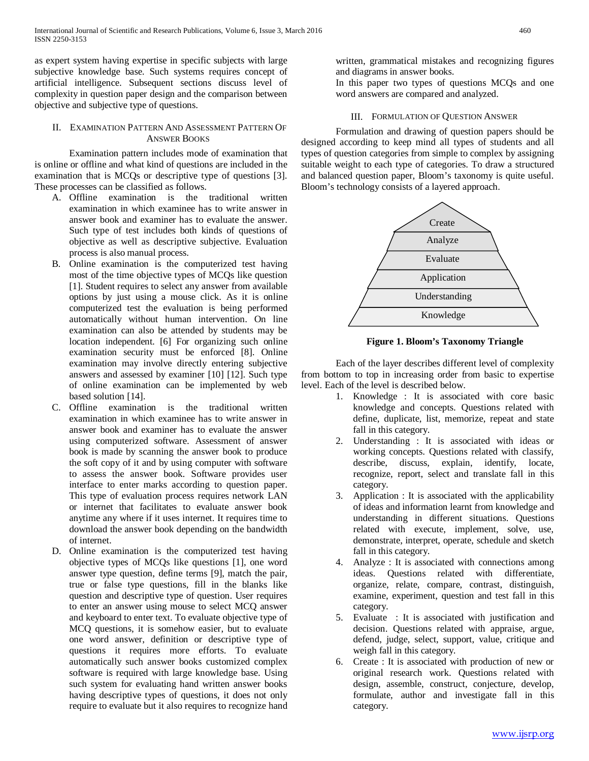as expert system having expertise in specific subjects with large subjective knowledge base. Such systems requires concept of artificial intelligence. Subsequent sections discuss level of complexity in question paper design and the comparison between objective and subjective type of questions.

## II. EXAMINATION PATTERN AND ASSESSMENT PATTERN OF ANSWER BOOKS

Examination pattern includes mode of examination that is online or offline and what kind of questions are included in the examination that is MCQs or descriptive type of questions [3]. These processes can be classified as follows.

- A. Offline examination is the traditional written examination in which examinee has to write answer in answer book and examiner has to evaluate the answer. Such type of test includes both kinds of questions of objective as well as descriptive subjective. Evaluation process is also manual process.
- B. Online examination is the computerized test having most of the time objective types of MCQs like question [1]. Student requires to select any answer from available options by just using a mouse click. As it is online computerized test the evaluation is being performed automatically without human intervention. On line examination can also be attended by students may be location independent. [6] For organizing such online examination security must be enforced [8]. Online examination may involve directly entering subjective answers and assessed by examiner [10] [12]. Such type of online examination can be implemented by web based solution [14].
- C. Offline examination is the traditional written examination in which examinee has to write answer in answer book and examiner has to evaluate the answer using computerized software. Assessment of answer book is made by scanning the answer book to produce the soft copy of it and by using computer with software to assess the answer book. Software provides user interface to enter marks according to question paper. This type of evaluation process requires network LAN or internet that facilitates to evaluate answer book anytime any where if it uses internet. It requires time to download the answer book depending on the bandwidth of internet.
- D. Online examination is the computerized test having objective types of MCQs like questions [1], one word answer type question, define terms [9], match the pair, true or false type questions, fill in the blanks like question and descriptive type of question. User requires to enter an answer using mouse to select MCQ answer and keyboard to enter text. To evaluate objective type of MCQ questions, it is somehow easier, but to evaluate one word answer, definition or descriptive type of questions it requires more efforts. To evaluate automatically such answer books customized complex software is required with large knowledge base. Using such system for evaluating hand written answer books having descriptive types of questions, it does not only require to evaluate but it also requires to recognize hand

written, grammatical mistakes and recognizing figures and diagrams in answer books.

In this paper two types of questions MCQs and one word answers are compared and analyzed.

## III. FORMULATION OF QUESTION ANSWER

Formulation and drawing of question papers should be designed according to keep mind all types of students and all types of question categories from simple to complex by assigning suitable weight to each type of categories. To draw a structured and balanced question paper, Bloom's taxonomy is quite useful. Bloom's technology consists of a layered approach.



**Figure 1. Bloom's Taxonomy Triangle**

Each of the layer describes different level of complexity from bottom to top in increasing order from basic to expertise level. Each of the level is described below.

- 1. Knowledge : It is associated with core basic knowledge and concepts. Questions related with define, duplicate, list, memorize, repeat and state fall in this category.
- 2. Understanding : It is associated with ideas or working concepts. Questions related with classify, describe, discuss, explain, identify, locate, recognize, report, select and translate fall in this category.
- 3. Application : It is associated with the applicability of ideas and information learnt from knowledge and understanding in different situations. Questions related with execute, implement, solve, use, demonstrate, interpret, operate, schedule and sketch fall in this category.
- 4. Analyze : It is associated with connections among ideas. Questions related with differentiate, organize, relate, compare, contrast, distinguish, examine, experiment, question and test fall in this category.
- 5. Evaluate : It is associated with justification and decision. Questions related with appraise, argue, defend, judge, select, support, value, critique and weigh fall in this category.
- 6. Create : It is associated with production of new or original research work. Questions related with design, assemble, construct, conjecture, develop, formulate, author and investigate fall in this category.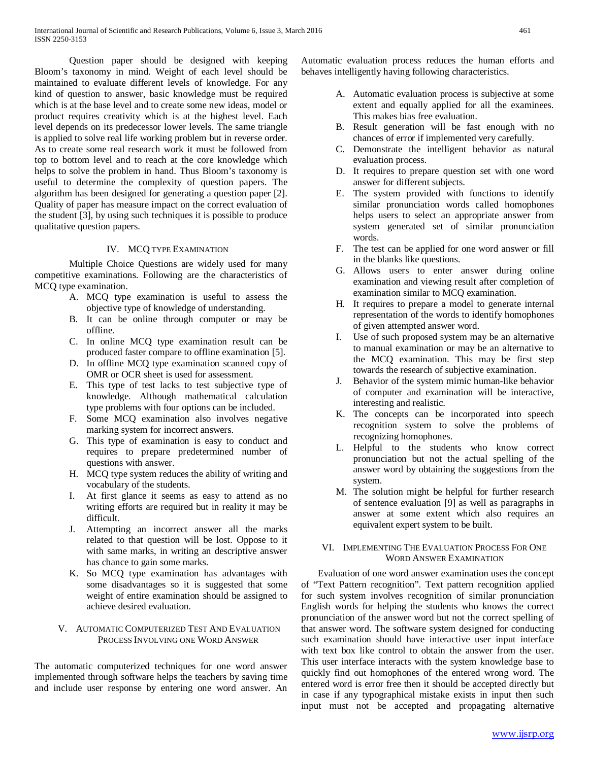Question paper should be designed with keeping Bloom's taxonomy in mind. Weight of each level should be maintained to evaluate different levels of knowledge. For any kind of question to answer, basic knowledge must be required which is at the base level and to create some new ideas, model or product requires creativity which is at the highest level. Each level depends on its predecessor lower levels. The same triangle is applied to solve real life working problem but in reverse order. As to create some real research work it must be followed from top to bottom level and to reach at the core knowledge which helps to solve the problem in hand. Thus Bloom's taxonomy is useful to determine the complexity of question papers. The algorithm has been designed for generating a question paper [2]. Quality of paper has measure impact on the correct evaluation of the student [3], by using such techniques it is possible to produce qualitative question papers.

## IV. MCQ TYPE EXAMINATION

Multiple Choice Questions are widely used for many competitive examinations. Following are the characteristics of MCQ type examination.

- A. MCQ type examination is useful to assess the objective type of knowledge of understanding.
- B. It can be online through computer or may be offline.
- C. In online MCQ type examination result can be produced faster compare to offline examination [5].
- D. In offline MCQ type examination scanned copy of OMR or OCR sheet is used for assessment.
- E. This type of test lacks to test subjective type of knowledge. Although mathematical calculation type problems with four options can be included.
- F. Some MCQ examination also involves negative marking system for incorrect answers.
- G. This type of examination is easy to conduct and requires to prepare predetermined number of questions with answer.
- H. MCQ type system reduces the ability of writing and vocabulary of the students.
- I. At first glance it seems as easy to attend as no writing efforts are required but in reality it may be difficult.
- J. Attempting an incorrect answer all the marks related to that question will be lost. Oppose to it with same marks, in writing an descriptive answer has chance to gain some marks.
- K. So MCQ type examination has advantages with some disadvantages so it is suggested that some weight of entire examination should be assigned to achieve desired evaluation.
- V. AUTOMATIC COMPUTERIZED TEST AND EVALUATION PROCESS INVOLVING ONE WORD ANSWER

The automatic computerized techniques for one word answer implemented through software helps the teachers by saving time and include user response by entering one word answer. An Automatic evaluation process reduces the human efforts and behaves intelligently having following characteristics.

- A. Automatic evaluation process is subjective at some extent and equally applied for all the examinees. This makes bias free evaluation.
- B. Result generation will be fast enough with no chances of error if implemented very carefully.
- C. Demonstrate the intelligent behavior as natural evaluation process.
- D. It requires to prepare question set with one word answer for different subjects.
- E. The system provided with functions to identify similar pronunciation words called homophones helps users to select an appropriate answer from system generated set of similar pronunciation words.
- F. The test can be applied for one word answer or fill in the blanks like questions.
- G. Allows users to enter answer during online examination and viewing result after completion of examination similar to MCQ examination.
- H. It requires to prepare a model to generate internal representation of the words to identify homophones of given attempted answer word.
- I. Use of such proposed system may be an alternative to manual examination or may be an alternative to the MCQ examination. This may be first step towards the research of subjective examination.
- J. Behavior of the system mimic human-like behavior of computer and examination will be interactive, interesting and realistic.
- K. The concepts can be incorporated into speech recognition system to solve the problems of recognizing homophones.
- L. Helpful to the students who know correct pronunciation but not the actual spelling of the answer word by obtaining the suggestions from the system.
- M. The solution might be helpful for further research of sentence evaluation [9] as well as paragraphs in answer at some extent which also requires an equivalent expert system to be built.

## VI. IMPLEMENTING THE EVALUATION PROCESS FOR ONE WORD ANSWER EXAMINATION

 Evaluation of one word answer examination uses the concept of "Text Pattern recognition". Text pattern recognition applied for such system involves recognition of similar pronunciation English words for helping the students who knows the correct pronunciation of the answer word but not the correct spelling of that answer word. The software system designed for conducting such examination should have interactive user input interface with text box like control to obtain the answer from the user. This user interface interacts with the system knowledge base to quickly find out homophones of the entered wrong word. The entered word is error free then it should be accepted directly but in case if any typographical mistake exists in input then such input must not be accepted and propagating alternative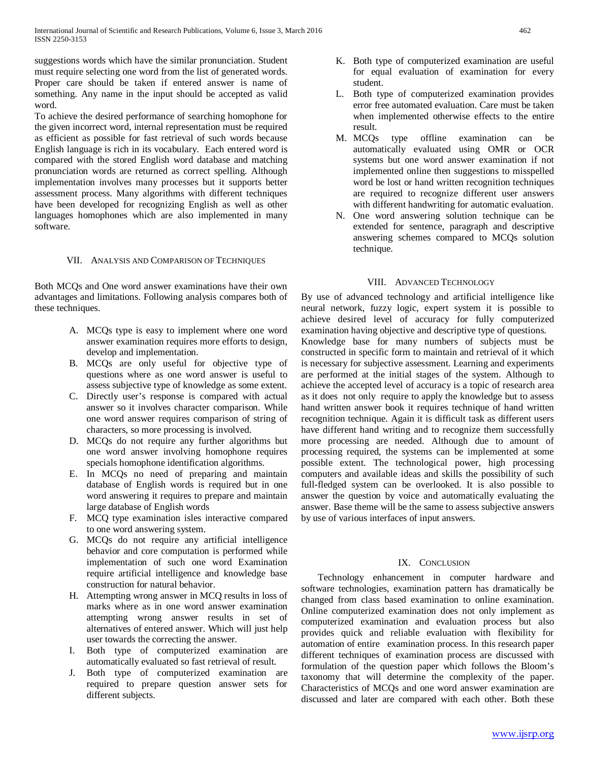suggestions words which have the similar pronunciation. Student must require selecting one word from the list of generated words. Proper care should be taken if entered answer is name of something. Any name in the input should be accepted as valid word.

To achieve the desired performance of searching homophone for the given incorrect word, internal representation must be required as efficient as possible for fast retrieval of such words because English language is rich in its vocabulary. Each entered word is compared with the stored English word database and matching pronunciation words are returned as correct spelling. Although implementation involves many processes but it supports better assessment process. Many algorithms with different techniques have been developed for recognizing English as well as other languages homophones which are also implemented in many software.

#### VII. ANALYSIS AND COMPARISON OF TECHNIQUES

Both MCQs and One word answer examinations have their own advantages and limitations. Following analysis compares both of these techniques.

- A. MCQs type is easy to implement where one word answer examination requires more efforts to design, develop and implementation.
- B. MCQs are only useful for objective type of questions where as one word answer is useful to assess subjective type of knowledge as some extent.
- C. Directly user's response is compared with actual answer so it involves character comparison. While one word answer requires comparison of string of characters, so more processing is involved.
- D. MCQs do not require any further algorithms but one word answer involving homophone requires specials homophone identification algorithms.
- E. In MCQs no need of preparing and maintain database of English words is required but in one word answering it requires to prepare and maintain large database of English words
- F. MCQ type examination isles interactive compared to one word answering system.
- G. MCQs do not require any artificial intelligence behavior and core computation is performed while implementation of such one word Examination require artificial intelligence and knowledge base construction for natural behavior.
- H. Attempting wrong answer in MCQ results in loss of marks where as in one word answer examination attempting wrong answer results in set of alternatives of entered answer. Which will just help user towards the correcting the answer.
- I. Both type of computerized examination are automatically evaluated so fast retrieval of result.
- J. Both type of computerized examination are required to prepare question answer sets for different subjects.
- K. Both type of computerized examination are useful for equal evaluation of examination for every student.
- L. Both type of computerized examination provides error free automated evaluation. Care must be taken when implemented otherwise effects to the entire result.
- M. MCQs type offline examination can be automatically evaluated using OMR or OCR systems but one word answer examination if not implemented online then suggestions to misspelled word be lost or hand written recognition techniques are required to recognize different user answers with different handwriting for automatic evaluation.
- N. One word answering solution technique can be extended for sentence, paragraph and descriptive answering schemes compared to MCQs solution technique.

#### VIII. ADVANCED TECHNOLOGY

By use of advanced technology and artificial intelligence like neural network, fuzzy logic, expert system it is possible to achieve desired level of accuracy for fully computerized examination having objective and descriptive type of questions. Knowledge base for many numbers of subjects must be constructed in specific form to maintain and retrieval of it which is necessary for subjective assessment. Learning and experiments are performed at the initial stages of the system. Although to achieve the accepted level of accuracy is a topic of research area as it does not only require to apply the knowledge but to assess hand written answer book it requires technique of hand written recognition technique. Again it is difficult task as different users have different hand writing and to recognize them successfully more processing are needed. Although due to amount of processing required, the systems can be implemented at some possible extent. The technological power, high processing computers and available ideas and skills the possibility of such full-fledged system can be overlooked. It is also possible to answer the question by voice and automatically evaluating the answer. Base theme will be the same to assess subjective answers by use of various interfaces of input answers.

## IX. CONCLUSION

 Technology enhancement in computer hardware and software technologies, examination pattern has dramatically be changed from class based examination to online examination. Online computerized examination does not only implement as computerized examination and evaluation process but also provides quick and reliable evaluation with flexibility for automation of entire examination process. In this research paper different techniques of examination process are discussed with formulation of the question paper which follows the Bloom's taxonomy that will determine the complexity of the paper. Characteristics of MCQs and one word answer examination are discussed and later are compared with each other. Both these